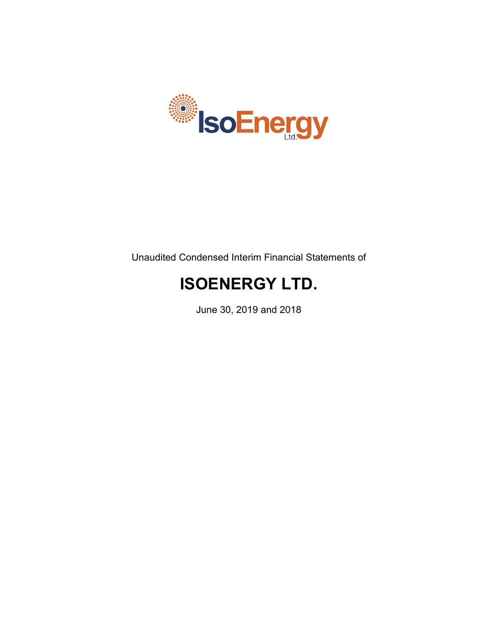

Unaudited Condensed Interim Financial Statements of

# **ISOENERGY LTD.**

June 30, 2019 and 2018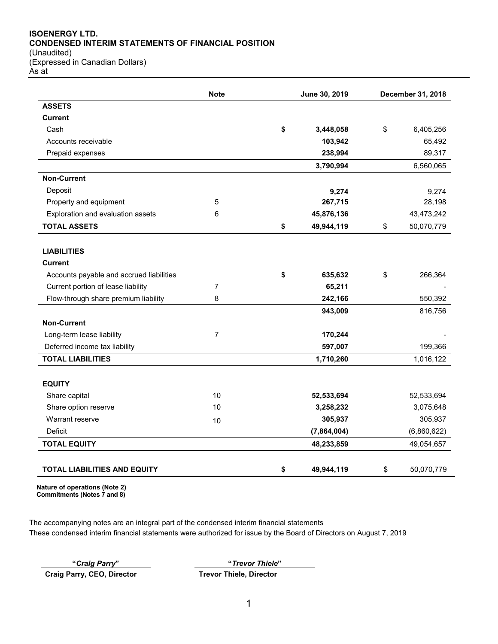## **ISOENERGY LTD. CONDENSED INTERIM STATEMENTS OF FINANCIAL POSITION**

(Unaudited) (Expressed in Canadian Dollars) As at

|                                          | <b>Note</b>    | June 30, 2019    | December 31, 2018 |
|------------------------------------------|----------------|------------------|-------------------|
| <b>ASSETS</b>                            |                |                  |                   |
| Current                                  |                |                  |                   |
| Cash                                     |                | \$<br>3,448,058  | \$<br>6,405,256   |
| Accounts receivable                      |                | 103,942          | 65,492            |
| Prepaid expenses                         |                | 238,994          | 89,317            |
|                                          |                | 3,790,994        | 6,560,065         |
| <b>Non-Current</b>                       |                |                  |                   |
| Deposit                                  |                | 9,274            | 9,274             |
| Property and equipment                   | 5              | 267,715          | 28,198            |
| Exploration and evaluation assets        | 6              | 45,876,136       | 43,473,242        |
| <b>TOTAL ASSETS</b>                      |                | \$<br>49,944,119 | \$<br>50,070,779  |
|                                          |                |                  |                   |
| <b>LIABILITIES</b>                       |                |                  |                   |
| <b>Current</b>                           |                |                  |                   |
| Accounts payable and accrued liabilities |                | \$<br>635,632    | \$<br>266,364     |
| Current portion of lease liability       | $\overline{7}$ | 65,211           |                   |
| Flow-through share premium liability     | 8              | 242,166          | 550,392           |
|                                          |                | 943,009          | 816,756           |
| <b>Non-Current</b>                       |                |                  |                   |
| Long-term lease liability                | 7              | 170,244          |                   |
| Deferred income tax liability            |                | 597,007          | 199,366           |
| <b>TOTAL LIABILITIES</b>                 |                | 1,710,260        | 1,016,122         |
| <b>EQUITY</b>                            |                |                  |                   |
| Share capital                            | 10             | 52,533,694       | 52,533,694        |
| Share option reserve                     | 10             | 3,258,232        | 3,075,648         |
| Warrant reserve                          | 10             | 305,937          | 305,937           |
| Deficit                                  |                | (7,864,004)      | (6,860,622)       |
| <b>TOTAL EQUITY</b>                      |                | 48,233,859       | 49,054,657        |
|                                          |                |                  |                   |
| <b>TOTAL LIABILITIES AND EQUITY</b>      |                | \$<br>49,944,119 | \$<br>50,070,779  |

**Nature of operations (Note 2) Commitments (Notes 7 and 8)**

The accompanying notes are an integral part of the condensed interim financial statements These condensed interim financial statements were authorized for issue by the Board of Directors on August 7, 2019

**Craig Parry, CEO, Director Trevor Thiele, Director**

**"***Craig Parry***" "***Trevor Thiele***"**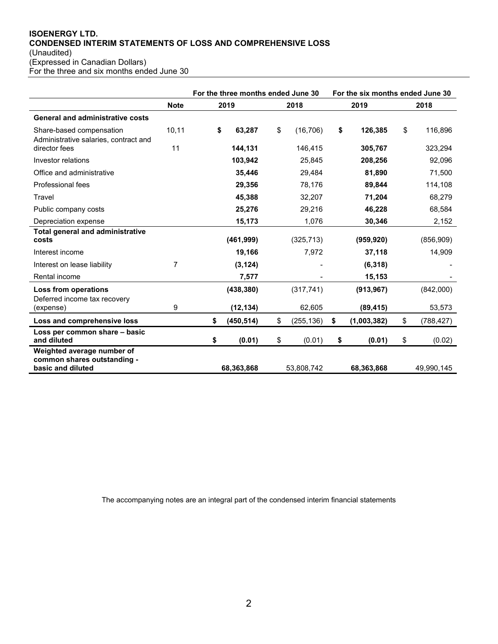# **ISOENERGY LTD. CONDENSED INTERIM STATEMENTS OF LOSS AND COMPREHENSIVE LOSS** (Unaudited)

(Expressed in Canadian Dollars)

For the three and six months ended June 30

|                                                                                |             | For the three months ended June 30 |                  | For the six months ended June 30 |    |            |
|--------------------------------------------------------------------------------|-------------|------------------------------------|------------------|----------------------------------|----|------------|
|                                                                                | <b>Note</b> | 2019                               | 2018             | 2019                             |    | 2018       |
| <b>General and administrative costs</b>                                        |             |                                    |                  |                                  |    |            |
| Share-based compensation<br>Administrative salaries, contract and              | 10,11       | \$<br>63,287                       | \$<br>(16, 706)  | \$<br>126,385                    | \$ | 116,896    |
| director fees                                                                  | 11          | 144,131                            | 146,415          | 305,767                          |    | 323,294    |
| Investor relations                                                             |             | 103,942                            | 25,845           | 208,256                          |    | 92,096     |
| Office and administrative                                                      |             | 35,446                             | 29,484           | 81,890                           |    | 71,500     |
| Professional fees                                                              |             | 29,356                             | 78,176           | 89,844                           |    | 114,108    |
| Travel                                                                         |             | 45,388                             | 32,207           | 71,204                           |    | 68,279     |
| Public company costs                                                           |             | 25,276                             | 29,216           | 46,228                           |    | 68,584     |
| Depreciation expense                                                           |             | 15,173                             | 1,076            | 30,346                           |    | 2,152      |
| <b>Total general and administrative</b><br>costs                               |             | (461,999)                          | (325, 713)       | (959, 920)                       |    | (856,909)  |
| Interest income                                                                |             | 19,166                             | 7,972            | 37,118                           |    | 14,909     |
| Interest on lease liability                                                    | 7           | (3, 124)                           |                  | (6,318)                          |    |            |
| Rental income                                                                  |             | 7,577                              |                  | 15,153                           |    |            |
| Loss from operations<br>Deferred income tax recovery                           |             | (438, 380)                         | (317, 741)       | (913, 967)                       |    | (842,000)  |
| (expense)                                                                      | 9           | (12, 134)                          | 62,605           | (89, 415)                        |    | 53,573     |
| Loss and comprehensive loss                                                    |             | \$<br>(450, 514)                   | \$<br>(255, 136) | \$<br>(1,003,382)                | \$ | (788, 427) |
| Loss per common share - basic<br>and diluted                                   |             | \$<br>(0.01)                       | \$<br>(0.01)     | \$<br>(0.01)                     | \$ | (0.02)     |
| Weighted average number of<br>common shares outstanding -<br>basic and diluted |             | 68,363,868                         | 53,808,742       | 68,363,868                       |    | 49,990,145 |

The accompanying notes are an integral part of the condensed interim financial statements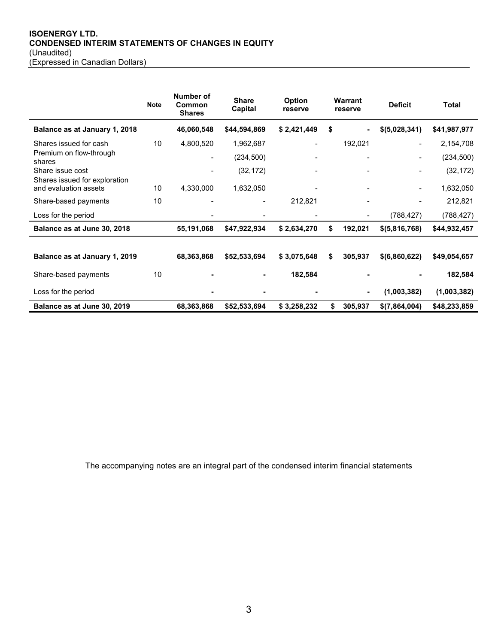## **ISOENERGY LTD. CONDENSED INTERIM STATEMENTS OF CHANGES IN EQUITY** (Unaudited) (Expressed in Canadian Dollars)

|                                                   | <b>Note</b> | Number of<br>Common<br><b>Shares</b> | <b>Share</b><br>Capital | <b>Option</b><br>reserve | Warrant<br>reserve | <b>Deficit</b> | <b>Total</b> |
|---------------------------------------------------|-------------|--------------------------------------|-------------------------|--------------------------|--------------------|----------------|--------------|
| Balance as at January 1, 2018                     |             | 46,060,548                           | \$44,594,869            | \$2,421,449              | \$<br>٠            | \$(5,028,341)  | \$41,987,977 |
| Shares issued for cash                            | 10          | 4,800,520                            | 1,962,687               |                          | 192,021            |                | 2,154,708    |
| Premium on flow-through<br>shares                 |             | $\blacksquare$                       | (234, 500)              |                          | $\blacksquare$     |                | (234, 500)   |
| Share issue cost<br>Shares issued for exploration |             | $\blacksquare$                       | (32, 172)               |                          |                    |                | (32, 172)    |
| and evaluation assets                             | 10          | 4,330,000                            | 1,632,050               |                          |                    |                | 1,632,050    |
| Share-based payments                              | 10          |                                      |                         | 212,821                  | $\blacksquare$     |                | 212,821      |
| Loss for the period                               |             |                                      |                         |                          | $\blacksquare$     | (788, 427)     | (788, 427)   |
| Balance as at June 30, 2018                       |             | 55,191,068                           | \$47,922,934            | \$2,634,270              | \$<br>192,021      | \$ (5,816,768) | \$44,932,457 |
|                                                   |             |                                      |                         |                          |                    |                |              |
| Balance as at January 1, 2019                     |             | 68,363,868                           | \$52,533,694            | \$3,075,648              | \$<br>305,937      | \$(6,860,622)  | \$49,054,657 |
| Share-based payments                              | 10          |                                      |                         | 182,584                  |                    |                | 182,584      |
| Loss for the period                               |             |                                      |                         |                          | $\blacksquare$     | (1,003,382)    | (1,003,382)  |
| Balance as at June 30, 2019                       |             | 68,363,868                           | \$52,533,694            | \$3,258,232              | \$<br>305,937      | \$(7,864,004)  | \$48,233,859 |

The accompanying notes are an integral part of the condensed interim financial statements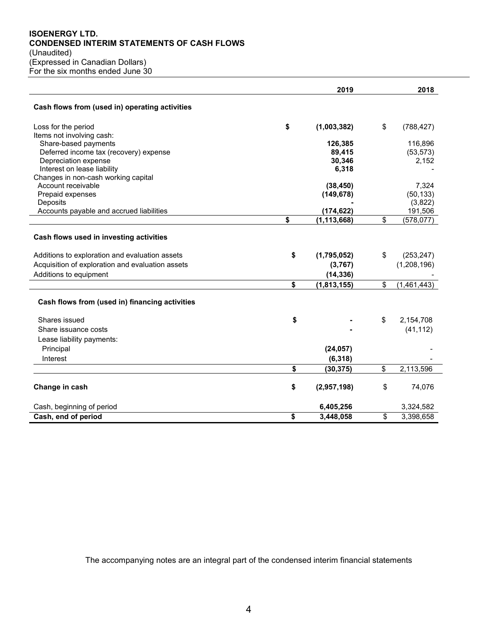## **ISOENERGY LTD. CONDENSED INTERIM STATEMENTS OF CASH FLOWS** (Unaudited) (Expressed in Canadian Dollars) For the six months ended June  $30$

|                                                      | 2019                | 2018               |
|------------------------------------------------------|---------------------|--------------------|
| Cash flows from (used in) operating activities       |                     |                    |
| Loss for the period                                  | \$<br>(1,003,382)   | \$<br>(788, 427)   |
| Items not involving cash:                            |                     |                    |
| Share-based payments                                 | 126,385             | 116,896            |
| Deferred income tax (recovery) expense               | 89,415              | (53, 573)          |
| Depreciation expense                                 | 30,346              | 2,152              |
| Interest on lease liability                          | 6,318               |                    |
| Changes in non-cash working capital                  |                     |                    |
| Account receivable                                   | (38, 450)           | 7,324              |
| Prepaid expenses                                     | (149, 678)          | (50, 133)          |
| Deposits<br>Accounts payable and accrued liabilities | (174, 622)          | (3,822)<br>191,506 |
|                                                      | \$<br>(1, 113, 668) | \$<br>(578, 077)   |
|                                                      |                     |                    |
| Cash flows used in investing activities              |                     |                    |
| Additions to exploration and evaluation assets       | \$<br>(1,795,052)   | \$<br>(253, 247)   |
| Acquisition of exploration and evaluation assets     | (3,767)             | (1,208,196)        |
| Additions to equipment                               | (14, 336)           |                    |
|                                                      | \$<br>(1,813,155)   | \$<br>(1,461,443)  |
| Cash flows from (used in) financing activities       |                     |                    |
| Shares issued                                        | \$                  | \$<br>2,154,708    |
| Share issuance costs                                 |                     | (41, 112)          |
| Lease liability payments:                            |                     |                    |
| Principal                                            | (24, 057)           |                    |
| Interest                                             | (6, 318)            |                    |
|                                                      | \$<br>(30, 375)     | \$<br>2,113,596    |
|                                                      |                     |                    |
| Change in cash                                       | \$<br>(2,957,198)   | \$<br>74,076       |
| Cash, beginning of period                            | 6,405,256           | 3,324,582          |
| Cash, end of period                                  | \$<br>3,448,058     | \$<br>3,398,658    |

The accompanying notes are an integral part of the condensed interim financial statements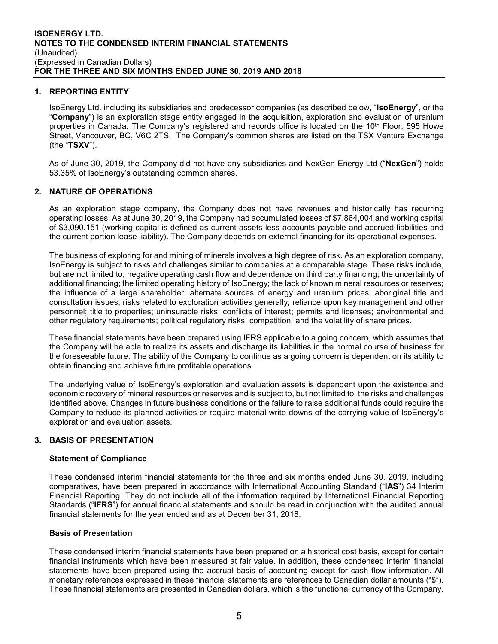## **1. REPORTING ENTITY**

IsoEnergy Ltd. including its subsidiaries and predecessor companies (as described below, "**IsoEnergy**", or the "**Company**") is an exploration stage entity engaged in the acquisition, exploration and evaluation of uranium properties in Canada. The Company's registered and records office is located on the 10<sup>th</sup> Floor, 595 Howe Street, Vancouver, BC, V6C 2TS. The Company's common shares are listed on the TSX Venture Exchange (the "**TSXV**").

As of June 30, 2019, the Company did not have any subsidiaries and NexGen Energy Ltd ("**NexGen**") holds 53.35% of IsoEnergy's outstanding common shares.

## **2. NATURE OF OPERATIONS**

As an exploration stage company, the Company does not have revenues and historically has recurring operating losses. As at June 30, 2019, the Company had accumulated losses of \$7,864,004 and working capital of \$3,090,151 (working capital is defined as current assets less accounts payable and accrued liabilities and the current portion lease liability). The Company depends on external financing for its operational expenses.

The business of exploring for and mining of minerals involves a high degree of risk. As an exploration company, IsoEnergy is subject to risks and challenges similar to companies at a comparable stage. These risks include, but are not limited to, negative operating cash flow and dependence on third party financing; the uncertainty of additional financing; the limited operating history of IsoEnergy; the lack of known mineral resources or reserves; the influence of a large shareholder; alternate sources of energy and uranium prices; aboriginal title and consultation issues; risks related to exploration activities generally; reliance upon key management and other personnel; title to properties; uninsurable risks; conflicts of interest; permits and licenses; environmental and other regulatory requirements; political regulatory risks; competition; and the volatility of share prices.

These financial statements have been prepared using IFRS applicable to a going concern, which assumes that the Company will be able to realize its assets and discharge its liabilities in the normal course of business for the foreseeable future. The ability of the Company to continue as a going concern is dependent on its ability to obtain financing and achieve future profitable operations.

The underlying value of IsoEnergy's exploration and evaluation assets is dependent upon the existence and economic recovery of mineral resources or reserves and is subject to, but not limited to, the risks and challenges identified above. Changes in future business conditions or the failure to raise additional funds could require the Company to reduce its planned activities or require material write-downs of the carrying value of IsoEnergy's exploration and evaluation assets.

# **3. BASIS OF PRESENTATION**

## **Statement of Compliance**

These condensed interim financial statements for the three and six months ended June 30, 2019, including comparatives, have been prepared in accordance with International Accounting Standard ("**IAS**") 34 Interim Financial Reporting. They do not include all of the information required by International Financial Reporting Standards ("**IFRS**") for annual financial statements and should be read in conjunction with the audited annual financial statements for the year ended and as at December 31, 2018.

## **Basis of Presentation**

These condensed interim financial statements have been prepared on a historical cost basis, except for certain financial instruments which have been measured at fair value. In addition, these condensed interim financial statements have been prepared using the accrual basis of accounting except for cash flow information. All monetary references expressed in these financial statements are references to Canadian dollar amounts ("\$"). These financial statements are presented in Canadian dollars, which is the functional currency of the Company.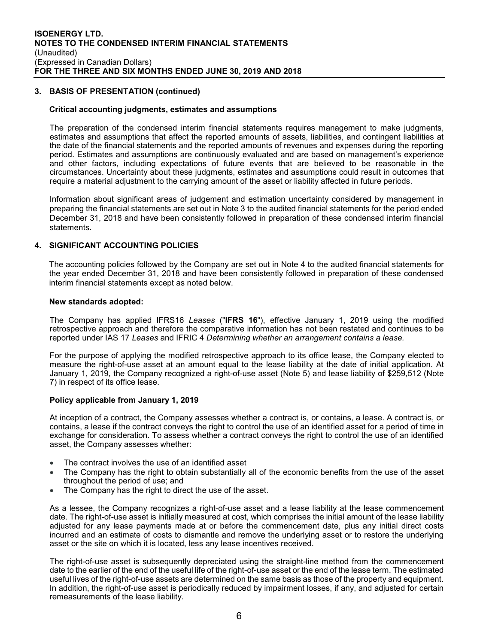## **3. BASIS OF PRESENTATION (continued)**

#### **Critical accounting judgments, estimates and assumptions**

The preparation of the condensed interim financial statements requires management to make judgments, estimates and assumptions that affect the reported amounts of assets, liabilities, and contingent liabilities at the date of the financial statements and the reported amounts of revenues and expenses during the reporting period. Estimates and assumptions are continuously evaluated and are based on management's experience and other factors, including expectations of future events that are believed to be reasonable in the circumstances. Uncertainty about these judgments, estimates and assumptions could result in outcomes that require a material adjustment to the carrying amount of the asset or liability affected in future periods.

Information about significant areas of judgement and estimation uncertainty considered by management in preparing the financial statements are set out in Note 3 to the audited financial statements for the period ended December 31, 2018 and have been consistently followed in preparation of these condensed interim financial statements.

## **4. SIGNIFICANT ACCOUNTING POLICIES**

The accounting policies followed by the Company are set out in Note 4 to the audited financial statements for the year ended December 31, 2018 and have been consistently followed in preparation of these condensed interim financial statements except as noted below.

#### **New standards adopted:**

The Company has applied IFRS16 *Leases* ("**IFRS 16**"), effective January 1, 2019 using the modified retrospective approach and therefore the comparative information has not been restated and continues to be reported under IAS 17 *Leases* and IFRIC 4 *Determining whether an arrangement contains a lease.*

For the purpose of applying the modified retrospective approach to its office lease, the Company elected to measure the right-of-use asset at an amount equal to the lease liability at the date of initial application. At January 1, 2019, the Company recognized a right-of-use asset (Note 5) and lease liability of \$259,512 (Note 7) in respect of its office lease.

#### **Policy applicable from January 1, 2019**

At inception of a contract, the Company assesses whether a contract is, or contains, a lease. A contract is, or contains, a lease if the contract conveys the right to control the use of an identified asset for a period of time in exchange for consideration. To assess whether a contract conveys the right to control the use of an identified asset, the Company assesses whether:

- The contract involves the use of an identified asset
- The Company has the right to obtain substantially all of the economic benefits from the use of the asset throughout the period of use; and
- The Company has the right to direct the use of the asset.

As a lessee, the Company recognizes a right-of-use asset and a lease liability at the lease commencement date. The right-of-use asset is initially measured at cost, which comprises the initial amount of the lease liability adjusted for any lease payments made at or before the commencement date, plus any initial direct costs incurred and an estimate of costs to dismantle and remove the underlying asset or to restore the underlying asset or the site on which it is located, less any lease incentives received.

The right-of-use asset is subsequently depreciated using the straight-line method from the commencement date to the earlier of the end of the useful life of the right-of-use asset or the end of the lease term. The estimated useful lives of the right-of-use assets are determined on the same basis as those of the property and equipment. In addition, the right-of-use asset is periodically reduced by impairment losses, if any, and adjusted for certain remeasurements of the lease liability.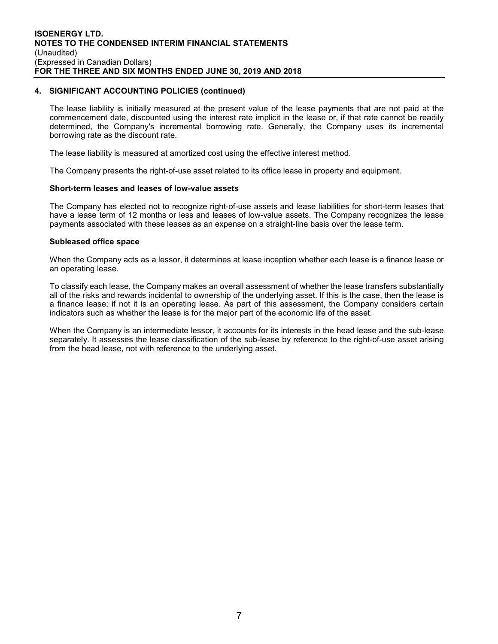#### **4. SIGNIFICANT ACCOUNTING POLICIES (continued)**

The lease liability is initially measured at the present value of the lease payments that are not paid at the commencement date, discounted using the interest rate implicit in the lease or, if that rate cannot be readily determined, the Company's incremental borrowing rate. Generally, the Company uses its incremental borrowing rate as the discount rate.

The lease liability is measured at amortized cost using the effective interest method.

The Company presents the right-of-use asset related to its office lease in property and equipment.

#### **Short-term leases and leases of low-value assets**

The Company has elected not to recognize right-of-use assets and lease liabilities for short-term leases that have a lease term of 12 months or less and leases of low-value assets. The Company recognizes the lease payments associated with these leases as an expense on a straight-line basis over the lease term.

#### **Subleased office space**

When the Company acts as a lessor, it determines at lease inception whether each lease is a finance lease or an operating lease.

To classify each lease, the Company makes an overall assessment of whether the lease transfers substantially all of the risks and rewards incidental to ownership of the underlying asset. If this is the case, then the lease is a finance lease; if not it is an operating lease. As part of this assessment, the Company considers certain indicators such as whether the lease is for the major part of the economic life of the asset.

When the Company is an intermediate lessor, it accounts for its interests in the head lease and the sub-lease separately. It assesses the lease classification of the sub-lease by reference to the right-of-use asset arising from the head lease, not with reference to the underlying asset.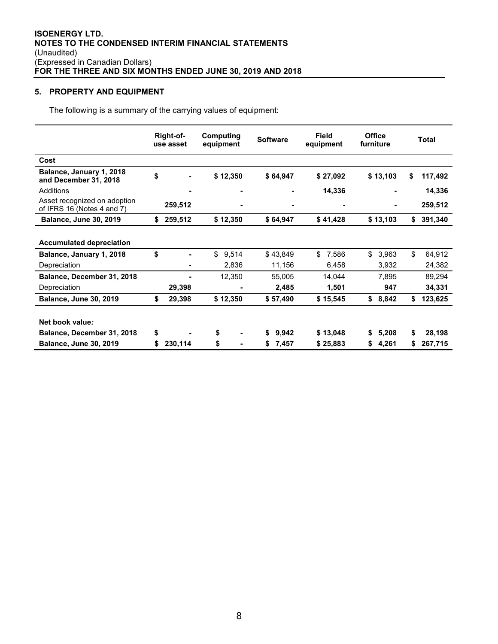# **5. PROPERTY AND EQUIPMENT**

The following is a summary of the carrying values of equipment:

|                                                            |    | Right-of-<br>use asset | Computing<br>equipment | <b>Software</b> | <b>Office</b><br><b>Field</b><br>furniture<br>equipment |          | <b>Total</b> |          |    |         |
|------------------------------------------------------------|----|------------------------|------------------------|-----------------|---------------------------------------------------------|----------|--------------|----------|----|---------|
| Cost                                                       |    |                        |                        |                 |                                                         |          |              |          |    |         |
| Balance, January 1, 2018<br>and December 31, 2018          | \$ |                        | \$12,350               | \$64,947        |                                                         | \$27,092 |              | \$13,103 | S  | 117,492 |
| Additions                                                  |    |                        |                        |                 |                                                         | 14,336   |              |          |    | 14,336  |
| Asset recognized on adoption<br>of IFRS 16 (Notes 4 and 7) |    | 259,512                |                        |                 |                                                         | -        |              | ٠        |    | 259,512 |
| <b>Balance, June 30, 2019</b>                              | \$ | 259,512                | \$12,350               | \$64,947        |                                                         | \$41,428 |              | \$13,103 | \$ | 391,340 |
| <b>Accumulated depreciation</b>                            |    |                        |                        |                 |                                                         |          |              |          |    |         |
| Balance, January 1, 2018                                   | \$ |                        | \$<br>9,514            | \$43,849        | \$                                                      | 7,586    | \$           | 3,963    | \$ | 64,912  |
| Depreciation                                               |    |                        | 2,836                  | 11,156          |                                                         | 6,458    |              | 3,932    |    | 24,382  |
| Balance, December 31, 2018                                 |    |                        | 12,350                 | 55,005          |                                                         | 14,044   |              | 7,895    |    | 89,294  |
| Depreciation                                               |    | 29,398                 | -                      | 2,485           |                                                         | 1,501    |              | 947      |    | 34,331  |
| <b>Balance, June 30, 2019</b>                              | \$ | 29,398                 | \$12,350               | \$57,490        |                                                         | \$15,545 | \$           | 8,842    | \$ | 123,625 |
|                                                            |    |                        |                        |                 |                                                         |          |              |          |    |         |
| Net book value:                                            |    |                        |                        |                 |                                                         |          |              |          |    |         |
| Balance, December 31, 2018                                 | \$ |                        | \$                     | \$<br>9,942     |                                                         | \$13,048 | S.           | 5,208    | \$ | 28,198  |
| <b>Balance, June 30, 2019</b>                              | S  | 230,114                | \$                     | \$<br>7,457     |                                                         | \$25,883 | \$           | 4,261    |    | 267,715 |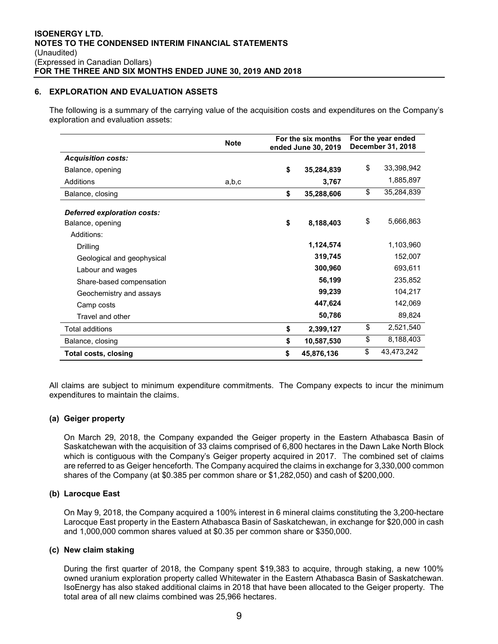## **6. EXPLORATION AND EVALUATION ASSETS**

The following is a summary of the carrying value of the acquisition costs and expenditures on the Company's exploration and evaluation assets:

|                             | <b>Note</b> | For the six months<br>ended June 30, 2019 |            | For the year ended<br>December 31, 2018 |            |  |
|-----------------------------|-------------|-------------------------------------------|------------|-----------------------------------------|------------|--|
| <b>Acquisition costs:</b>   |             |                                           |            |                                         |            |  |
| Balance, opening            |             | \$                                        | 35,284,839 | \$                                      | 33,398,942 |  |
| Additions                   | a,b,c       |                                           | 3,767      |                                         | 1,885,897  |  |
| Balance, closing            |             | \$                                        | 35,288,606 | \$                                      | 35,284,839 |  |
| Deferred exploration costs: |             |                                           |            | \$                                      | 5,666,863  |  |
| Balance, opening            |             | \$                                        | 8,188,403  |                                         |            |  |
| Additions:                  |             |                                           | 1,124,574  |                                         | 1,103,960  |  |
| Drilling                    |             |                                           |            |                                         |            |  |
| Geological and geophysical  |             |                                           | 319,745    |                                         | 152,007    |  |
| Labour and wages            |             |                                           | 300,960    |                                         | 693,611    |  |
| Share-based compensation    |             |                                           | 56,199     |                                         | 235,852    |  |
| Geochemistry and assays     |             |                                           | 99,239     |                                         | 104,217    |  |
| Camp costs                  |             |                                           | 447,624    |                                         | 142,069    |  |
| Travel and other            |             |                                           | 50,786     |                                         | 89,824     |  |
| <b>Total additions</b>      |             | \$                                        | 2,399,127  | \$                                      | 2,521,540  |  |
| Balance, closing            |             | \$                                        | 10,587,530 | \$                                      | 8,188,403  |  |
| Total costs, closing        |             | \$                                        | 45,876,136 | \$                                      | 43,473,242 |  |

All claims are subject to minimum expenditure commitments. The Company expects to incur the minimum expenditures to maintain the claims.

## **(a) Geiger property**

On March 29, 2018, the Company expanded the Geiger property in the Eastern Athabasca Basin of Saskatchewan with the acquisition of 33 claims comprised of 6,800 hectares in the Dawn Lake North Block which is contiguous with the Company's Geiger property acquired in 2017. The combined set of claims are referred to as Geiger henceforth. The Company acquired the claims in exchange for 3,330,000 common shares of the Company (at \$0.385 per common share or \$1,282,050) and cash of \$200,000.

## **(b) Larocque East**

On May 9, 2018, the Company acquired a 100% interest in 6 mineral claims constituting the 3,200-hectare Larocque East property in the Eastern Athabasca Basin of Saskatchewan, in exchange for \$20,000 in cash and 1,000,000 common shares valued at \$0.35 per common share or \$350,000.

## **(c) New claim staking**

During the first quarter of 2018, the Company spent \$19,383 to acquire, through staking, a new 100% owned uranium exploration property called Whitewater in the Eastern Athabasca Basin of Saskatchewan. IsoEnergy has also staked additional claims in 2018 that have been allocated to the Geiger property. The total area of all new claims combined was 25,966 hectares.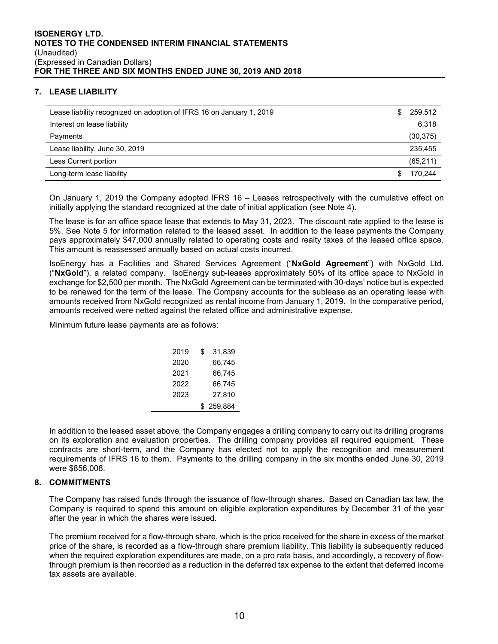# **7. LEASE LIABILITY**

| Lease liability recognized on adoption of IFRS 16 on January 1, 2019 | S | 259.512   |
|----------------------------------------------------------------------|---|-----------|
| Interest on lease liability                                          |   | 6.318     |
| Payments                                                             |   | (30, 375) |
| Lease liability, June 30, 2019                                       |   | 235,455   |
| Less Current portion                                                 |   | (65, 211) |
| Long-term lease liability                                            |   | 170.244   |

On January 1, 2019 the Company adopted IFRS 16 – Leases retrospectively with the cumulative effect on initially applying the standard recognized at the date of initial application (see Note 4).

The lease is for an office space lease that extends to May 31, 2023. The discount rate applied to the lease is 5%. See Note 5 for information related to the leased asset. In addition to the lease payments the Company pays approximately \$47,000 annually related to operating costs and realty taxes of the leased office space. This amount is reassessed annually based on actual costs incurred.

IsoEnergy has a Facilities and Shared Services Agreement ("**NxGold Agreement**") with NxGold Ltd. ("**NxGold**"), a related company. IsoEnergy sub-leases approximately 50% of its office space to NxGold in exchange for \$2,500 per month. The NxGold Agreement can be terminated with 30-days' notice but is expected to be renewed for the term of the lease. The Company accounts for the sublease as an operating lease with amounts received from NxGold recognized as rental income from January 1, 2019. In the comparative period, amounts received were netted against the related office and administrative expense.

Minimum future lease payments are as follows:

| 2019 | \$<br>31.839 |
|------|--------------|
| 2020 | 66.745       |
| 2021 | 66,745       |
| 2022 | 66.745       |
| 2023 | 27,810       |
|      | \$259,884    |

In addition to the leased asset above, the Company engages a drilling company to carry out its drilling programs on its exploration and evaluation properties. The drilling company provides all required equipment. These contracts are short-term, and the Company has elected not to apply the recognition and measurement requirements of IFRS 16 to them. Payments to the drilling company in the six months ended June 30, 2019 were \$856,008.

## **8. COMMITMENTS**

The Company has raised funds through the issuance of flow-through shares. Based on Canadian tax law, the Company is required to spend this amount on eligible exploration expenditures by December 31 of the year after the year in which the shares were issued.

The premium received for a flow-through share, which is the price received for the share in excess of the market price of the share, is recorded as a flow-through share premium liability. This liability is subsequently reduced when the required exploration expenditures are made, on a pro rata basis, and accordingly, a recovery of flowthrough premium is then recorded as a reduction in the deferred tax expense to the extent that deferred income tax assets are available.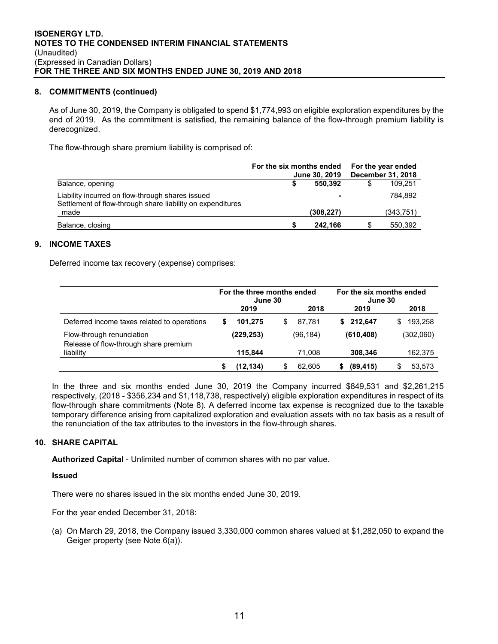## **8. COMMITMENTS (continued)**

As of June 30, 2019, the Company is obligated to spend \$1,774,993 on eligible exploration expenditures by the end of 2019. As the commitment is satisfied, the remaining balance of the flow-through premium liability is derecognized.

The flow-through share premium liability is comprised of:

|                                                                                                                | For the six months ended | June 30, 2019 | For the year ended<br>December 31, 2018 |
|----------------------------------------------------------------------------------------------------------------|--------------------------|---------------|-----------------------------------------|
| Balance, opening                                                                                               |                          | 550.392       | 109.251                                 |
| Liability incurred on flow-through shares issued<br>Settlement of flow-through share liability on expenditures |                          |               | 784.892                                 |
| made                                                                                                           |                          | (308, 227)    | (343, 751)                              |
| Balance, closing                                                                                               |                          | 242.166       | 550,392                                 |

## **9. INCOME TAXES**

Deferred income tax recovery (expense) comprises:

|                                                                    |   | For the three months ended<br>June 30 |    |           | For the six months ended<br>June 30 |            |   |           |
|--------------------------------------------------------------------|---|---------------------------------------|----|-----------|-------------------------------------|------------|---|-----------|
|                                                                    |   | 2019                                  |    | 2018      |                                     | 2019       |   | 2018      |
| Deferred income taxes related to operations                        | S | 101.275                               | S  | 87.781    | S.                                  | 212.647    | S | 193.258   |
| Flow-through renunciation<br>Release of flow-through share premium |   | (229, 253)                            |    | (96, 184) |                                     | (610, 408) |   | (302,060) |
| liability                                                          |   | 115.844                               |    | 71,008    |                                     | 308,346    |   | 162,375   |
|                                                                    | S | (12, 134)                             | \$ | 62.605    | S                                   | (89, 415)  |   | 53,573    |

In the three and six months ended June 30, 2019 the Company incurred \$849,531 and \$2,261,215 respectively, (2018 - \$356,234 and \$1,118,738, respectively) eligible exploration expenditures in respect of its flow-through share commitments (Note 8). A deferred income tax expense is recognized due to the taxable temporary difference arising from capitalized exploration and evaluation assets with no tax basis as a result of the renunciation of the tax attributes to the investors in the flow-through shares.

## **10. SHARE CAPITAL**

**Authorized Capital** - Unlimited number of common shares with no par value.

**Issued** 

There were no shares issued in the six months ended June 30, 2019.

For the year ended December 31, 2018:

(a) On March 29, 2018, the Company issued 3,330,000 common shares valued at \$1,282,050 to expand the Geiger property (see Note 6(a)).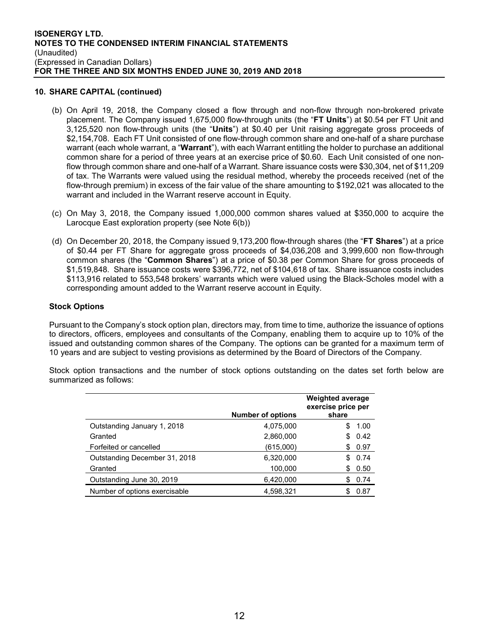## **10. SHARE CAPITAL (continued)**

- (b) On April 19, 2018, the Company closed a flow through and non-flow through non-brokered private placement. The Company issued 1,675,000 flow-through units (the "**FT Units**") at \$0.54 per FT Unit and 3,125,520 non flow-through units (the "**Units**") at \$0.40 per Unit raising aggregate gross proceeds of \$2,154,708. Each FT Unit consisted of one flow-through common share and one-half of a share purchase warrant (each whole warrant, a "**Warrant**"), with each Warrant entitling the holder to purchase an additional common share for a period of three years at an exercise price of \$0.60. Each Unit consisted of one nonflow through common share and one-half of a Warrant. Share issuance costs were \$30,304, net of \$11,209 of tax. The Warrants were valued using the residual method, whereby the proceeds received (net of the flow-through premium) in excess of the fair value of the share amounting to \$192,021 was allocated to the warrant and included in the Warrant reserve account in Equity.
- (c) On May 3, 2018, the Company issued 1,000,000 common shares valued at \$350,000 to acquire the Larocque East exploration property (see Note 6(b))
- (d) On December 20, 2018, the Company issued 9,173,200 flow-through shares (the "**FT Shares**") at a price of \$0.44 per FT Share for aggregate gross proceeds of \$4,036,208 and 3,999,600 non flow-through common shares (the "**Common Shares**") at a price of \$0.38 per Common Share for gross proceeds of \$1,519,848. Share issuance costs were \$396,772, net of \$104,618 of tax. Share issuance costs includes \$113,916 related to 553,548 brokers' warrants which were valued using the Black-Scholes model with a corresponding amount added to the Warrant reserve account in Equity.

## **Stock Options**

Pursuant to the Company's stock option plan, directors may, from time to time, authorize the issuance of options to directors, officers, employees and consultants of the Company, enabling them to acquire up to 10% of the issued and outstanding common shares of the Company. The options can be granted for a maximum term of 10 years and are subject to vesting provisions as determined by the Board of Directors of the Company.

Stock option transactions and the number of stock options outstanding on the dates set forth below are summarized as follows:

|                               | <b>Number of options</b> | <b>Weighted average</b><br>exercise price per<br>share |
|-------------------------------|--------------------------|--------------------------------------------------------|
| Outstanding January 1, 2018   | 4,075,000                | 1.00<br>SS.                                            |
| Granted                       | 2,860,000                | 0.42<br>S                                              |
| Forfeited or cancelled        | (615,000)                | \$0.97                                                 |
| Outstanding December 31, 2018 | 6,320,000                | 0.74<br>S                                              |
| Granted                       | 100,000                  | \$0.50                                                 |
| Outstanding June 30, 2019     | 6,420,000                | 0.74<br>\$.                                            |
| Number of options exercisable | 4,598,321                | 0.87<br>\$                                             |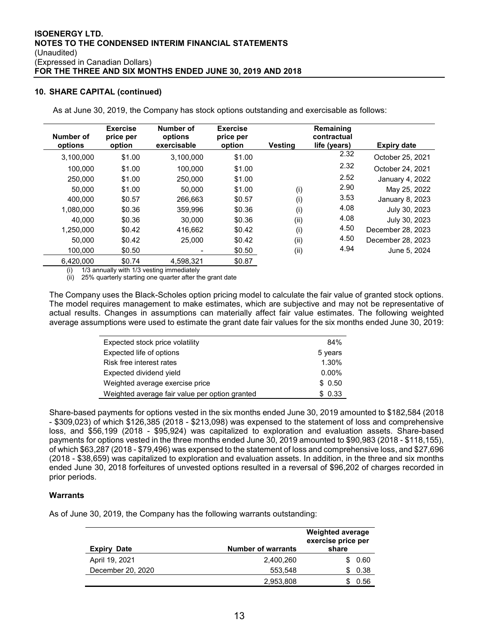## **10. SHARE CAPITAL (continued)**

As at June 30, 2019, the Company has stock options outstanding and exercisable as follows:

| Number of | <b>Exercise</b><br>price per | Number of<br>options | <b>Exercise</b><br>price per |         | Remaining<br>contractual |                    |
|-----------|------------------------------|----------------------|------------------------------|---------|--------------------------|--------------------|
| options   | option                       | exercisable          | option                       | Vestina | life (years)             | <b>Expiry date</b> |
| 3,100,000 | \$1.00                       | 3.100.000            | \$1.00                       |         | 2.32                     | October 25, 2021   |
| 100.000   | \$1.00                       | 100.000              | \$1.00                       |         | 2.32                     | October 24, 2021   |
| 250,000   | \$1.00                       | 250.000              | \$1.00                       |         | 2.52                     | January 4, 2022    |
| 50,000    | \$1.00                       | 50.000               | \$1.00                       | (i)     | 2.90                     | May 25, 2022       |
| 400.000   | \$0.57                       | 266.663              | \$0.57                       | (i)     | 3.53                     | January 8, 2023    |
| 1,080,000 | \$0.36                       | 359.996              | \$0.36                       | (i)     | 4.08                     | July 30, 2023      |
| 40.000    | \$0.36                       | 30,000               | \$0.36                       | (ii)    | 4.08                     | July 30, 2023      |
| 1,250,000 | \$0.42                       | 416.662              | \$0.42                       | (i)     | 4.50                     | December 28, 2023  |
| 50,000    | \$0.42                       | 25,000               | \$0.42                       | (ii)    | 4.50                     | December 28, 2023  |
| 100.000   | \$0.50                       | -                    | \$0.50                       | (ii)    | 4.94                     | June 5, 2024       |
| 6,420,000 | \$0.74                       | 4.598.321            | \$0.87                       |         |                          |                    |

1/3 annually with 1/3 vesting immediately

(ii) 25% quarterly starting one quarter after the grant date

The Company uses the Black-Scholes option pricing model to calculate the fair value of granted stock options. The model requires management to make estimates, which are subjective and may not be representative of actual results. Changes in assumptions can materially affect fair value estimates. The following weighted average assumptions were used to estimate the grant date fair values for the six months ended June 30, 2019:

| Expected stock price volatility                | 84%      |
|------------------------------------------------|----------|
| Expected life of options                       | 5 years  |
| Risk free interest rates                       | 1.30%    |
| Expected dividend yield                        | $0.00\%$ |
| Weighted average exercise price                | \$0.50   |
| Weighted average fair value per option granted | \$0.33   |

Share-based payments for options vested in the six months ended June 30, 2019 amounted to \$182,584 (2018 - \$309,023) of which \$126,385 (2018 - \$213,098) was expensed to the statement of loss and comprehensive loss, and \$56,199 (2018 - \$95,924) was capitalized to exploration and evaluation assets. Share-based payments for options vested in the three months ended June 30, 2019 amounted to \$90,983 (2018 - \$118,155), of which \$63,287 (2018 - \$79,496) was expensed to the statement of loss and comprehensive loss, and \$27,696 (2018 - \$38,659) was capitalized to exploration and evaluation assets. In addition, in the three and six months ended June 30, 2018 forfeitures of unvested options resulted in a reversal of \$96,202 of charges recorded in prior periods.

## **Warrants**

As of June 30, 2019, the Company has the following warrants outstanding:

| <b>Number of warrants</b><br><b>Expiry Date</b> |           | <b>Weighted average</b><br>exercise price per<br>share |  |  |
|-------------------------------------------------|-----------|--------------------------------------------------------|--|--|
| April 19, 2021                                  | 2.400.260 | 0.60<br>S.                                             |  |  |
| December 20, 2020                               | 553.548   | 0.38                                                   |  |  |
|                                                 | 2,953,808 | 0.56                                                   |  |  |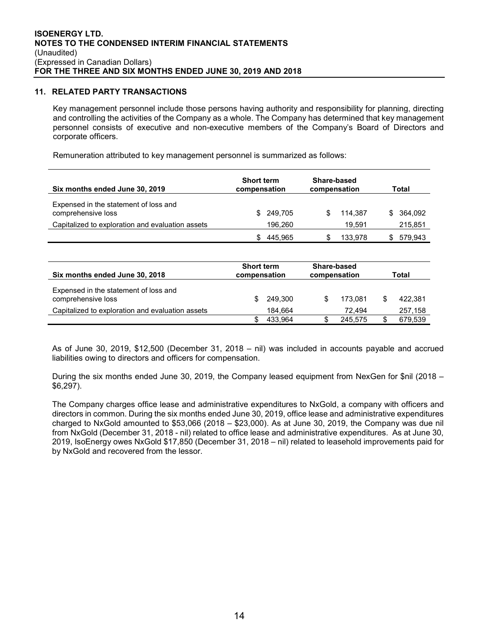## **11. RELATED PARTY TRANSACTIONS**

Key management personnel include those persons having authority and responsibility for planning, directing and controlling the activities of the Company as a whole. The Company has determined that key management personnel consists of executive and non-executive members of the Company's Board of Directors and corporate officers.

Remuneration attributed to key management personnel is summarized as follows:

| Six months ended June 30, 2019                              | <b>Short term</b><br>compensation | Share-based<br>compensation | Total         |  |
|-------------------------------------------------------------|-----------------------------------|-----------------------------|---------------|--|
| Expensed in the statement of loss and<br>comprehensive loss | 249.705<br>\$.                    | 114.387                     | 364.092<br>S. |  |
| Capitalized to exploration and evaluation assets            | 196.260                           | 19.591                      | 215,851       |  |
|                                                             | 445.965                           | 133.978                     | 579.943       |  |

| Six months ended June 30, 2018                              | <b>Short term</b><br>compensation |         | Share-based<br>compensation |         | Total |         |
|-------------------------------------------------------------|-----------------------------------|---------|-----------------------------|---------|-------|---------|
| Expensed in the statement of loss and<br>comprehensive loss |                                   | 249.300 |                             | 173.081 |       | 422,381 |
| Capitalized to exploration and evaluation assets            |                                   | 184.664 |                             | 72.494  |       | 257,158 |
|                                                             |                                   | 433.964 |                             | 245.575 |       | 679.539 |

As of June 30, 2019, \$12,500 (December 31, 2018 – nil) was included in accounts payable and accrued liabilities owing to directors and officers for compensation.

During the six months ended June 30, 2019, the Company leased equipment from NexGen for \$nil (2018 – \$6,297).

The Company charges office lease and administrative expenditures to NxGold, a company with officers and directors in common. During the six months ended June 30, 2019, office lease and administrative expenditures charged to NxGold amounted to \$53,066 (2018 – \$23,000). As at June 30, 2019, the Company was due nil from NxGold (December 31, 2018 - nil) related to office lease and administrative expenditures. As at June 30, 2019, IsoEnergy owes NxGold \$17,850 (December 31, 2018 – nil) related to leasehold improvements paid for by NxGold and recovered from the lessor.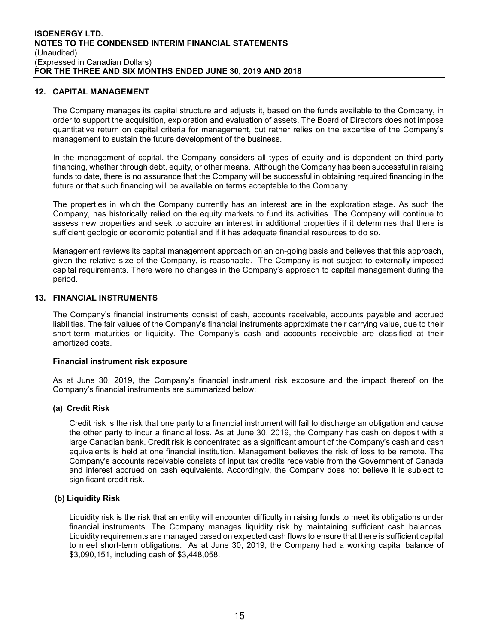## **12. CAPITAL MANAGEMENT**

The Company manages its capital structure and adjusts it, based on the funds available to the Company, in order to support the acquisition, exploration and evaluation of assets. The Board of Directors does not impose quantitative return on capital criteria for management, but rather relies on the expertise of the Company's management to sustain the future development of the business.

In the management of capital, the Company considers all types of equity and is dependent on third party financing, whether through debt, equity, or other means. Although the Company has been successful in raising funds to date, there is no assurance that the Company will be successful in obtaining required financing in the future or that such financing will be available on terms acceptable to the Company.

The properties in which the Company currently has an interest are in the exploration stage. As such the Company, has historically relied on the equity markets to fund its activities. The Company will continue to assess new properties and seek to acquire an interest in additional properties if it determines that there is sufficient geologic or economic potential and if it has adequate financial resources to do so.

Management reviews its capital management approach on an on-going basis and believes that this approach, given the relative size of the Company, is reasonable. The Company is not subject to externally imposed capital requirements. There were no changes in the Company's approach to capital management during the period.

## **13. FINANCIAL INSTRUMENTS**

The Company's financial instruments consist of cash, accounts receivable, accounts payable and accrued liabilities. The fair values of the Company's financial instruments approximate their carrying value, due to their short-term maturities or liquidity. The Company's cash and accounts receivable are classified at their amortized costs.

## **Financial instrument risk exposure**

As at June 30, 2019, the Company's financial instrument risk exposure and the impact thereof on the Company's financial instruments are summarized below:

## **(a) Credit Risk**

Credit risk is the risk that one party to a financial instrument will fail to discharge an obligation and cause the other party to incur a financial loss. As at June 30, 2019, the Company has cash on deposit with a large Canadian bank. Credit risk is concentrated as a significant amount of the Company's cash and cash equivalents is held at one financial institution. Management believes the risk of loss to be remote. The Company's accounts receivable consists of input tax credits receivable from the Government of Canada and interest accrued on cash equivalents. Accordingly, the Company does not believe it is subject to significant credit risk.

## **(b) Liquidity Risk**

Liquidity risk is the risk that an entity will encounter difficulty in raising funds to meet its obligations under financial instruments. The Company manages liquidity risk by maintaining sufficient cash balances. Liquidity requirements are managed based on expected cash flows to ensure that there is sufficient capital to meet short-term obligations. As at June 30, 2019, the Company had a working capital balance of \$3,090,151, including cash of \$3,448,058.